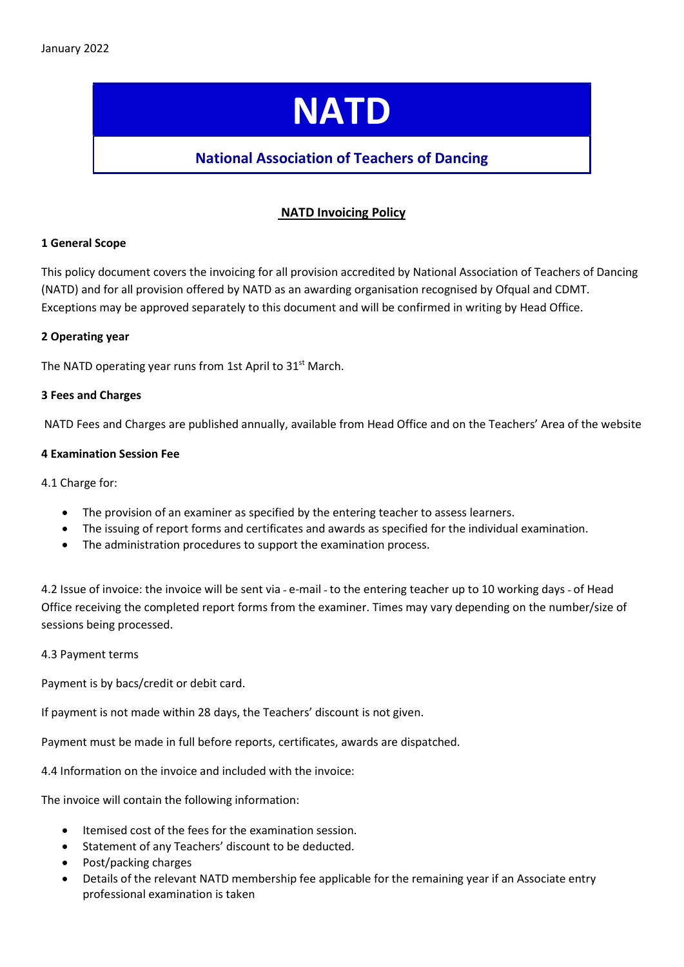# **NATD**

## National Association of Teachers of Dancing

### NATD Invoicing Policy

#### 1 General Scope

This policy document covers the invoicing for all provision accredited by National Association of Teachers of Dancing (NATD) and for all provision offered by NATD as an awarding organisation recognised by Ofqual and CDMT. Exceptions may be approved separately to this document and will be confirmed in writing by Head Office.

#### 2 Operating year

The NATD operating year runs from 1st April to 31<sup>st</sup> March.

#### 3 Fees and Charges

NATD Fees and Charges are published annually, available from Head Office and on the Teachers' Area of the website

#### 4 Examination Session Fee

4.1 Charge for:

- The provision of an examiner as specified by the entering teacher to assess learners.
- The issuing of report forms and certificates and awards as specified for the individual examination.
- The administration procedures to support the examination process.

4.2 Issue of invoice: the invoice will be sent via - e-mail - to the entering teacher up to 10 working days - of Head Office receiving the completed report forms from the examiner. Times may vary depending on the number/size of sessions being processed.

#### 4.3 Payment terms

Payment is by bacs/credit or debit card.

If payment is not made within 28 days, the Teachers' discount is not given.

Payment must be made in full before reports, certificates, awards are dispatched.

4.4 Information on the invoice and included with the invoice:

The invoice will contain the following information:

- Itemised cost of the fees for the examination session.
- Statement of any Teachers' discount to be deducted.
- Post/packing charges
- Details of the relevant NATD membership fee applicable for the remaining year if an Associate entry professional examination is taken